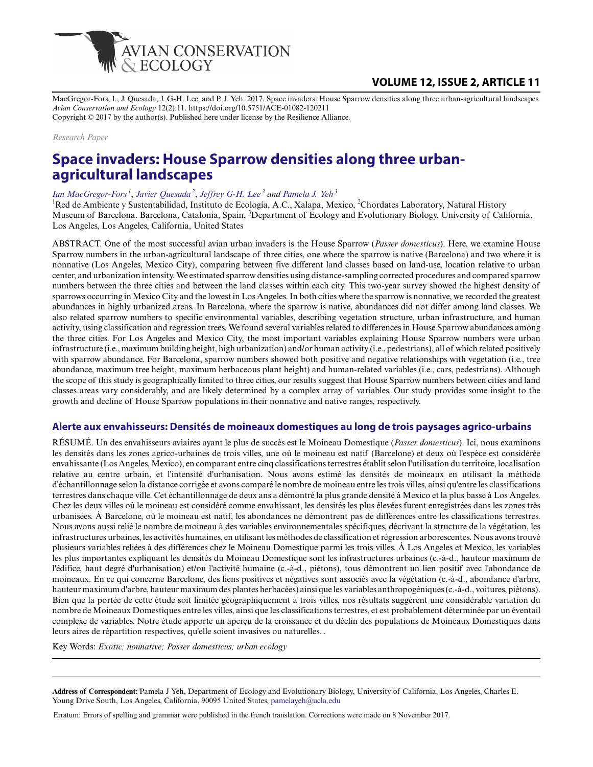

# **VOLUME 12, ISSUE 2, ARTICLE 11**

MacGregor-Fors, I., J. Quesada, J. G-H. Lee, and P. J. Yeh. 2017. Space invaders: House Sparrow densities along three urban-agricultural landscapes. *Avian Conservation and Ecology* 12(2):11. https://doi.org/10.5751/ACE-01082-120211 Copyright © 2017 by the author(s). Published here under license by the Resilience Alliance.

### *Research Paper*

# **Space invaders: House Sparrow densities along three urbanagricultural landscapes**

### *Ian MacGregor-Fors<sup>1</sup>* , *Javier Quesada<sup>2</sup>* , *Jeffrey G-H. Lee<sup>3</sup> and Pamela J. Yeh<sup>3</sup>*

<sup>1</sup>Red de Ambiente y Sustentabilidad, Instituto de Ecología, A.C., Xalapa, Mexico, <sup>2</sup>Chordates Laboratory, Natural History Museum of Barcelona. Barcelona, Catalonia, Spain, <sup>3</sup>Department of Ecology and Evolutionary Biology, University of California, Los Angeles, Los Angeles, California, United States

ABSTRACT. One of the most successful avian urban invaders is the House Sparrow (*Passer domesticus*). Here, we examine House Sparrow numbers in the urban-agricultural landscape of three cities, one where the sparrow is native (Barcelona) and two where it is nonnative (Los Angeles, Mexico City), comparing between five different land classes based on land-use, location relative to urban center, and urbanization intensity. We estimated sparrow densities using distance-sampling corrected procedures and compared sparrow numbers between the three cities and between the land classes within each city. This two-year survey showed the highest density of sparrows occurring in Mexico City and the lowest in Los Angeles. In both cities where the sparrow is nonnative, we recorded the greatest abundances in highly urbanized areas. In Barcelona, where the sparrow is native, abundances did not differ among land classes. We also related sparrow numbers to specific environmental variables, describing vegetation structure, urban infrastructure, and human activity, using classification and regression trees. We found several variables related to differences in House Sparrow abundances among the three cities. For Los Angeles and Mexico City, the most important variables explaining House Sparrow numbers were urban infrastructure (i.e., maximum building height, high urbanization) and/or human activity (i.e., pedestrians), all of which related positively with sparrow abundance. For Barcelona, sparrow numbers showed both positive and negative relationships with vegetation (i.e., tree abundance, maximum tree height, maximum herbaceous plant height) and human-related variables (i.e., cars, pedestrians). Although the scope of this study is geographically limited to three cities, our results suggest that House Sparrow numbers between cities and land classes areas vary considerably, and are likely determined by a complex array of variables. Our study provides some insight to the growth and decline of House Sparrow populations in their nonnative and native ranges, respectively.

### **Alerte aux envahisseurs: Densités de moineaux domestiques au long de trois paysages agrico-urbains**

RÉSUMÉ. Un des envahisseurs aviaires ayant le plus de succès est le Moineau Domestique (*Passer domesticus*). Ici, nous examinons les densités dans les zones agrico-urbaines de trois villes, une où le moineau est natif (Barcelone) et deux où l'espèce est considérée envahissante (Los Angeles, Mexico), en comparant entre cinq classifications terrestres établit selon l'utilisation du territoire, localisation relative au centre urbain, et l'intensité d'urbanisation. Nous avons estimé les densités de moineaux en utilisant la méthode d'échantillonnage selon la distance corrigée et avons comparé le nombre de moineau entre les trois villes, ainsi qu'entre les classifications terrestres dans chaque ville. Cet échantillonnage de deux ans a démontré la plus grande densité à Mexico et la plus basse à Los Angeles. Chez les deux villes où le moineau est considéré comme envahissant, les densités les plus élevées furent enregistrées dans les zones très urbanisées. À Barcelone, où le moineau est natif, les abondances ne démontrent pas de différences entre les classifications terrestres. Nous avons aussi relié le nombre de moineau à des variables environnementales spécifiques, décrivant la structure de la végétation, les infrastructures urbaines, les activités humaines, en utilisant les méthodes de classification et régression arborescentes. Nous avons trouvé plusieurs variables reliées à des différences chez le Moineau Domestique parmi les trois villes. À Los Angeles et Mexico, les variables les plus importantes expliquant les densités du Moineau Domestique sont les infrastructures urbaines (c.-à-d., hauteur maximum de l'édifice, haut degré d'urbanisation) et/ou l'activité humaine (c.-à-d., piétons), tous démontrent un lien positif avec l'abondance de moineaux. En ce qui concerne Barcelone, des liens positives et négatives sont associés avec la végétation (c.-à-d., abondance d'arbre, hauteur maximum d'arbre, hauteur maximum des plantes herbacées) ainsi que les variables anthropogéniques (c.-à-d., voitures, piétons). Bien que la portée de cette étude soit limitée géographiquement à trois villes, nos résultats suggèrent une considérable variation du nombre de Moineaux Domestiques entre les villes, ainsi que les classifications terrestres, et est probablement déterminée par un éventail complexe de variables. Notre étude apporte un aperçu de la croissance et du déclin des populations de Moineaux Domestiques dans leurs aires de répartition respectives, qu'elle soient invasives ou naturelles. .

Key Words: *Exotic; nonnative; Passer domesticus; urban ecology*

**Address of Correspondent:** Pamela J Yeh, Department of Ecology and Evolutionary Biology, University of California, Los Angeles, Charles E. Young Drive South, Los Angeles, California, 90095 United States, pamelayeh@ucla.edu

Erratum: Errors of spelling and grammar were published in the french translation. Corrections were made on 8 November 2017.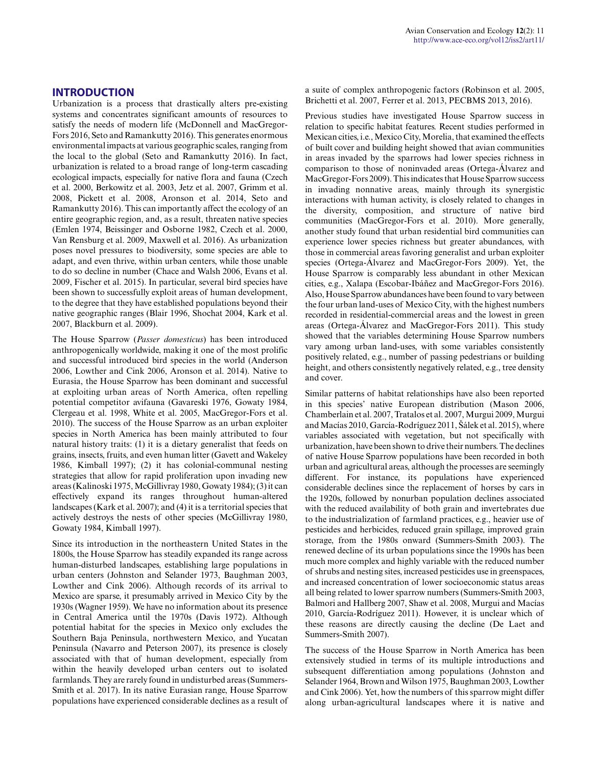### **INTRODUCTION**

Urbanization is a process that drastically alters pre-existing systems and concentrates significant amounts of resources to satisfy the needs of modern life (McDonnell and MacGregor-Fors 2016, Seto and Ramankutty 2016). This generates enormous environmental impacts at various geographic scales, ranging from the local to the global (Seto and Ramankutty 2016). In fact, urbanization is related to a broad range of long-term cascading ecological impacts, especially for native flora and fauna (Czech et al. 2000, Berkowitz et al. 2003, Jetz et al. 2007, Grimm et al. 2008, Pickett et al. 2008, Aronson et al. 2014, Seto and Ramankutty 2016). This can importantly affect the ecology of an entire geographic region, and, as a result, threaten native species (Emlen 1974, Beissinger and Osborne 1982, Czech et al. 2000, Van Rensburg et al. 2009, Maxwell et al. 2016). As urbanization poses novel pressures to biodiversity, some species are able to adapt, and even thrive, within urban centers, while those unable to do so decline in number (Chace and Walsh 2006, Evans et al. 2009, Fischer et al. 2015). In particular, several bird species have been shown to successfully exploit areas of human development, to the degree that they have established populations beyond their native geographic ranges (Blair 1996, Shochat 2004, Kark et al. 2007, Blackburn et al. 2009).

The House Sparrow (*Passer domesticus*) has been introduced anthropogenically worldwide, making it one of the most prolific and successful introduced bird species in the world (Anderson 2006, Lowther and Cink 2006, Aronson et al. 2014). Native to Eurasia, the House Sparrow has been dominant and successful at exploiting urban areas of North America, often repelling potential competitor avifauna (Gavareski 1976, Gowaty 1984, Clergeau et al. 1998, White et al. 2005, MacGregor-Fors et al. 2010). The success of the House Sparrow as an urban exploiter species in North America has been mainly attributed to four natural history traits: (1) it is a dietary generalist that feeds on grains, insects, fruits, and even human litter (Gavett and Wakeley 1986, Kimball 1997); (2) it has colonial-communal nesting strategies that allow for rapid proliferation upon invading new areas (Kalinoski 1975, McGillivray 1980, Gowaty 1984); (3) it can effectively expand its ranges throughout human-altered landscapes (Kark et al. 2007); and (4) it is a territorial species that actively destroys the nests of other species (McGillivray 1980, Gowaty 1984, Kimball 1997).

Since its introduction in the northeastern United States in the 1800s, the House Sparrow has steadily expanded its range across human-disturbed landscapes, establishing large populations in urban centers (Johnston and Selander 1973, Baughman 2003, Lowther and Cink 2006). Although records of its arrival to Mexico are sparse, it presumably arrived in Mexico City by the 1930s (Wagner 1959). We have no information about its presence in Central America until the 1970s (Davis 1972). Although potential habitat for the species in Mexico only excludes the Southern Baja Peninsula, northwestern Mexico, and Yucatan Peninsula (Navarro and Peterson 2007), its presence is closely associated with that of human development, especially from within the heavily developed urban centers out to isolated farmlands. They are rarely found in undisturbed areas (Summers-Smith et al. 2017). In its native Eurasian range, House Sparrow populations have experienced considerable declines as a result of a suite of complex anthropogenic factors (Robinson et al. 2005, Brichetti et al. 2007, Ferrer et al. 2013, PECBMS 2013, 2016).

Previous studies have investigated House Sparrow success in relation to specific habitat features. Recent studies performed in Mexican cities, i.e., Mexico City, Morelia, that examined the effects of built cover and building height showed that avian communities in areas invaded by the sparrows had lower species richness in comparison to those of noninvaded areas (Ortega-Álvarez and MacGregor-Fors 2009). This indicates that House Sparrow success in invading nonnative areas, mainly through its synergistic interactions with human activity, is closely related to changes in the diversity, composition, and structure of native bird communities (MacGregor-Fors et al. 2010). More generally, another study found that urban residential bird communities can experience lower species richness but greater abundances, with those in commercial areas favoring generalist and urban exploiter species (Ortega-Álvarez and MacGregor-Fors 2009). Yet, the House Sparrow is comparably less abundant in other Mexican cities, e.g., Xalapa (Escobar-Ibáñez and MacGregor-Fors 2016). Also, House Sparrow abundances have been found to vary between the four urban land-uses of Mexico City, with the highest numbers recorded in residential-commercial areas and the lowest in green areas (Ortega-Álvarez and MacGregor-Fors 2011). This study showed that the variables determining House Sparrow numbers vary among urban land-uses, with some variables consistently positively related, e.g., number of passing pedestrians or building height, and others consistently negatively related, e.g., tree density and cover.

Similar patterns of habitat relationships have also been reported in this species' native European distribution (Mason 2006, Chamberlain et al. 2007, Tratalos et al. 2007, Murgui 2009, Murgui and Macías 2010, García-Rodríguez 2011, Šálek et al. 2015), where variables associated with vegetation, but not specifically with urbanization, have been shown to drive their numbers. The declines of native House Sparrow populations have been recorded in both urban and agricultural areas, although the processes are seemingly different. For instance, its populations have experienced considerable declines since the replacement of horses by cars in the 1920s, followed by nonurban population declines associated with the reduced availability of both grain and invertebrates due to the industrialization of farmland practices, e.g., heavier use of pesticides and herbicides, reduced grain spillage, improved grain storage, from the 1980s onward (Summers-Smith 2003). The renewed decline of its urban populations since the 1990s has been much more complex and highly variable with the reduced number of shrubs and nesting sites, increased pesticides use in greenspaces, and increased concentration of lower socioeconomic status areas all being related to lower sparrow numbers (Summers-Smith 2003, Balmori and Hallberg 2007, Shaw et al. 2008, Murgui and Macías 2010, García-Rodríguez 2011). However, it is unclear which of these reasons are directly causing the decline (De Laet and Summers-Smith 2007).

The success of the House Sparrow in North America has been extensively studied in terms of its multiple introductions and subsequent differentiation among populations (Johnston and Selander 1964, Brown and Wilson 1975, Baughman 2003, Lowther and Cink 2006). Yet, how the numbers of this sparrow might differ along urban-agricultural landscapes where it is native and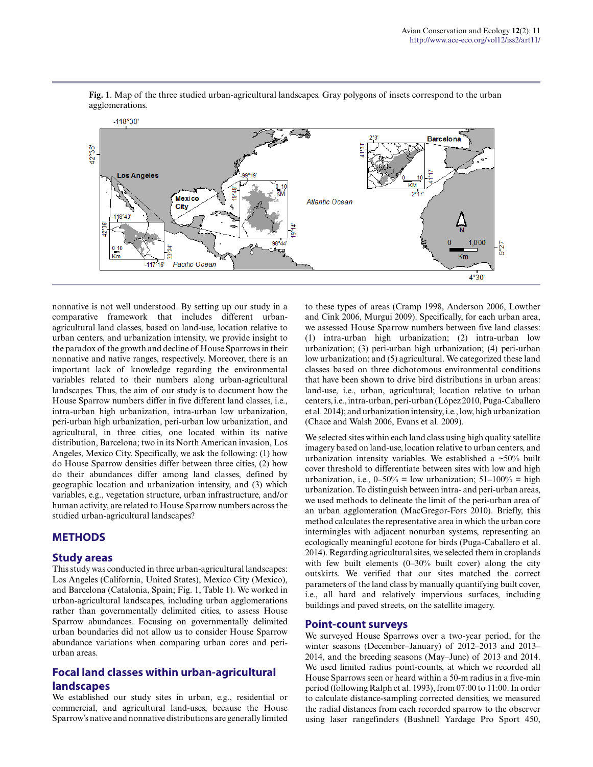

**Fig. 1**. Map of the three studied urban-agricultural landscapes. Gray polygons of insets correspond to the urban agglomerations.

nonnative is not well understood. By setting up our study in a comparative framework that includes different urbanagricultural land classes, based on land-use, location relative to urban centers, and urbanization intensity, we provide insight to the paradox of the growth and decline of House Sparrows in their nonnative and native ranges, respectively. Moreover, there is an important lack of knowledge regarding the environmental variables related to their numbers along urban-agricultural landscapes. Thus, the aim of our study is to document how the House Sparrow numbers differ in five different land classes, i.e., intra-urban high urbanization, intra-urban low urbanization, peri-urban high urbanization, peri-urban low urbanization, and agricultural, in three cities, one located within its native distribution, Barcelona; two in its North American invasion, Los Angeles, Mexico City. Specifically, we ask the following: (1) how do House Sparrow densities differ between three cities, (2) how do their abundances differ among land classes, defined by geographic location and urbanization intensity, and (3) which variables, e.g., vegetation structure, urban infrastructure, and/or human activity, are related to House Sparrow numbers across the studied urban-agricultural landscapes?

# **METHODS**

# **Study areas**

This study was conducted in three urban-agricultural landscapes: Los Angeles (California, United States), Mexico City (Mexico), and Barcelona (Catalonia, Spain; Fig. 1, Table 1). We worked in urban-agricultural landscapes, including urban agglomerations rather than governmentally delimited cities, to assess House Sparrow abundances. Focusing on governmentally delimited urban boundaries did not allow us to consider House Sparrow abundance variations when comparing urban cores and periurban areas.

# **Focal land classes within urban-agricultural landscapes**

We established our study sites in urban, e.g., residential or commercial, and agricultural land-uses, because the House Sparrow's native and nonnative distributions are generally limited to these types of areas (Cramp 1998, Anderson 2006, Lowther and Cink 2006, Murgui 2009). Specifically, for each urban area, we assessed House Sparrow numbers between five land classes: (1) intra-urban high urbanization; (2) intra-urban low urbanization; (3) peri-urban high urbanization; (4) peri-urban low urbanization; and (5) agricultural. We categorized these land classes based on three dichotomous environmental conditions that have been shown to drive bird distributions in urban areas: land-use, i.e., urban, agricultural; location relative to urban centers, i.e., intra-urban, peri-urban (López 2010, Puga-Caballero et al. 2014); and urbanization intensity, i.e., low, high urbanization (Chace and Walsh 2006, Evans et al. 2009).

We selected sites within each land class using high quality satellite imagery based on land-use, location relative to urban centers, and urbanization intensity variables. We established a ~50% built cover threshold to differentiate between sites with low and high urbanization, i.e.,  $0-50\% =$  low urbanization;  $51-100\% =$  high urbanization. To distinguish between intra- and peri-urban areas, we used methods to delineate the limit of the peri-urban area of an urban agglomeration (MacGregor-Fors 2010). Briefly, this method calculates the representative area in which the urban core intermingles with adjacent nonurban systems, representing an ecologically meaningful ecotone for birds (Puga-Caballero et al. 2014). Regarding agricultural sites, we selected them in croplands with few built elements (0–30% built cover) along the city outskirts. We verified that our sites matched the correct parameters of the land class by manually quantifying built cover, i.e., all hard and relatively impervious surfaces, including buildings and paved streets, on the satellite imagery.

# **Point-count surveys**

We surveyed House Sparrows over a two-year period, for the winter seasons (December–January) of 2012–2013 and 2013– 2014, and the breeding seasons (May–June) of 2013 and 2014. We used limited radius point-counts, at which we recorded all House Sparrows seen or heard within a 50-m radius in a five-min period (following Ralph et al. 1993), from 07:00 to 11:00. In order to calculate distance-sampling corrected densities, we measured the radial distances from each recorded sparrow to the observer using laser rangefinders (Bushnell Yardage Pro Sport 450,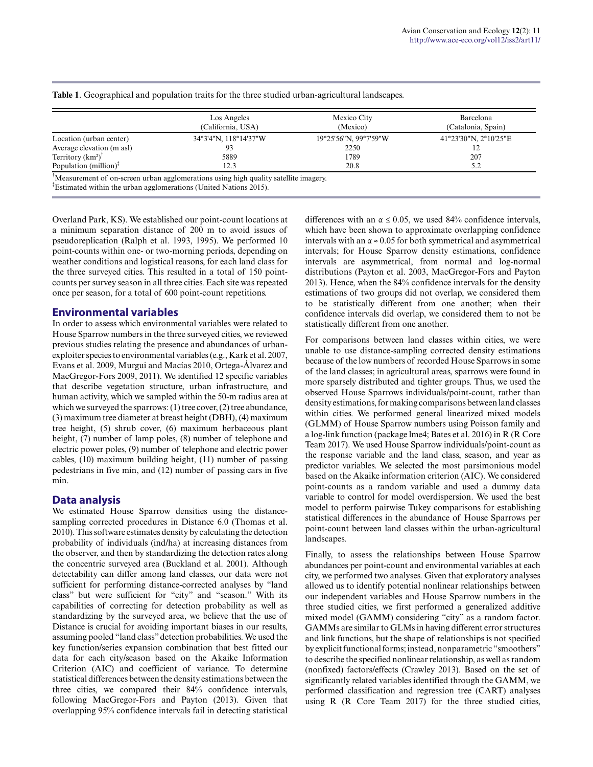|                                 | Los Angeles<br>(California, USA) | Mexico City<br>(Mexico) | Barcelona<br>(Catalonia, Spain) |
|---------------------------------|----------------------------------|-------------------------|---------------------------------|
| Location (urban center)         | 34°3'4"N, 118°14'37"W            | 19°25'56"N, 99°7'59"W   | 41°23'30"N, 2°10'25"E           |
| Average elevation (m asl)       |                                  | 2250                    |                                 |
| Territory $(km^2)$ <sup>T</sup> | 5889                             | 1789                    | 207                             |
| Population (million) $\bar{f}$  | 12.3                             | 20.8                    | 5.2                             |

**Table 1**. Geographical and population traits for the three studied urban-agricultural landscapes.

†Measurement of on-screen urban agglomerations using high quality satellite imagery.

‡ Estimated within the urban agglomerations (United Nations 2015).

Overland Park, KS). We established our point-count locations at a minimum separation distance of 200 m to avoid issues of pseudoreplication (Ralph et al. 1993, 1995). We performed 10 point-counts within one- or two-morning periods, depending on weather conditions and logistical reasons, for each land class for the three surveyed cities. This resulted in a total of 150 pointcounts per survey season in all three cities. Each site was repeated once per season, for a total of 600 point-count repetitions.

# **Environmental variables**

In order to assess which environmental variables were related to House Sparrow numbers in the three surveyed cities, we reviewed previous studies relating the presence and abundances of urbanexploiter species to environmental variables (e.g., Kark et al. 2007, Evans et al. 2009, Murgui and Macías 2010, Ortega-Álvarez and MacGregor-Fors 2009, 2011). We identified 12 specific variables that describe vegetation structure, urban infrastructure, and human activity, which we sampled within the 50-m radius area at which we surveyed the sparrows: (1) tree cover, (2) tree abundance, (3) maximum tree diameter at breast height (DBH), (4) maximum tree height, (5) shrub cover, (6) maximum herbaceous plant height, (7) number of lamp poles, (8) number of telephone and electric power poles, (9) number of telephone and electric power cables, (10) maximum building height, (11) number of passing pedestrians in five min, and (12) number of passing cars in five min.

# **Data analysis**

We estimated House Sparrow densities using the distancesampling corrected procedures in Distance 6.0 (Thomas et al. 2010). This software estimates density by calculating the detection probability of individuals (ind/ha) at increasing distances from the observer, and then by standardizing the detection rates along the concentric surveyed area (Buckland et al. 2001). Although detectability can differ among land classes, our data were not sufficient for performing distance-corrected analyses by "land class" but were sufficient for "city" and "season." With its capabilities of correcting for detection probability as well as standardizing by the surveyed area, we believe that the use of Distance is crucial for avoiding important biases in our results, assuming pooled "land class" detection probabilities. We used the key function/series expansion combination that best fitted our data for each city/season based on the Akaike Information Criterion (AIC) and coefficient of variance. To determine statistical differences between the density estimations between the three cities, we compared their 84% confidence intervals, following MacGregor-Fors and Payton (2013). Given that overlapping 95% confidence intervals fail in detecting statistical differences with an  $\alpha \leq 0.05$ , we used 84% confidence intervals, which have been shown to approximate overlapping confidence intervals with an  $\alpha \approx 0.05$  for both symmetrical and asymmetrical intervals; for House Sparrow density estimations, confidence intervals are asymmetrical, from normal and log-normal distributions (Payton et al. 2003, MacGregor-Fors and Payton 2013). Hence, when the 84% confidence intervals for the density estimations of two groups did not overlap, we considered them to be statistically different from one another; when their confidence intervals did overlap, we considered them to not be statistically different from one another.

For comparisons between land classes within cities, we were unable to use distance-sampling corrected density estimations because of the low numbers of recorded House Sparrows in some of the land classes; in agricultural areas, sparrows were found in more sparsely distributed and tighter groups. Thus, we used the observed House Sparrows individuals/point-count, rather than density estimations, for making comparisons between land classes within cities. We performed general linearized mixed models (GLMM) of House Sparrow numbers using Poisson family and a log-link function (package lme4; Bates et al. 2016) in R (R Core Team 2017). We used House Sparrow individuals/point-count as the response variable and the land class, season, and year as predictor variables. We selected the most parsimonious model based on the Akaike information criterion (AIC). We considered point-counts as a random variable and used a dummy data variable to control for model overdispersion. We used the best model to perform pairwise Tukey comparisons for establishing statistical differences in the abundance of House Sparrows per point-count between land classes within the urban-agricultural landscapes.

Finally, to assess the relationships between House Sparrow abundances per point-count and environmental variables at each city, we performed two analyses. Given that exploratory analyses allowed us to identify potential nonlinear relationships between our independent variables and House Sparrow numbers in the three studied cities, we first performed a generalized additive mixed model (GAMM) considering "city" as a random factor. GAMMs are similar to GLMs in having different error structures and link functions, but the shape of relationships is not specified by explicit functional forms; instead, nonparametric "smoothers" to describe the specified nonlinear relationship, as well as random (nonfixed) factors/effects (Crawley 2013). Based on the set of significantly related variables identified through the GAMM, we performed classification and regression tree (CART) analyses using R (R Core Team 2017) for the three studied cities,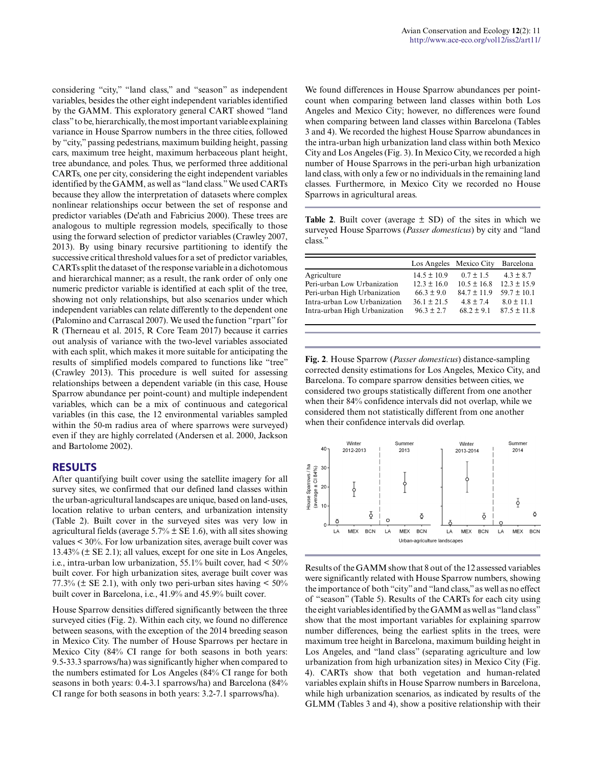considering "city," "land class," and "season" as independent variables, besides the other eight independent variables identified by the GAMM. This exploratory general CART showed "land class" to be, hierarchically, the most important variable explaining variance in House Sparrow numbers in the three cities, followed by "city," passing pedestrians, maximum building height, passing cars, maximum tree height, maximum herbaceous plant height, tree abundance, and poles. Thus, we performed three additional CARTs, one per city, considering the eight independent variables identified by the GAMM, as well as "land class." We used CARTs because they allow the interpretation of datasets where complex nonlinear relationships occur between the set of response and predictor variables (De'ath and Fabricius 2000). These trees are analogous to multiple regression models, specifically to those using the forward selection of predictor variables (Crawley 2007, 2013). By using binary recursive partitioning to identify the successive critical threshold values for a set of predictor variables, CARTs split the dataset of the response variable in a dichotomous and hierarchical manner; as a result, the rank order of only one numeric predictor variable is identified at each split of the tree, showing not only relationships, but also scenarios under which independent variables can relate differently to the dependent one (Palomino and Carrascal 2007). We used the function "rpart" for R (Therneau et al. 2015, R Core Team 2017) because it carries out analysis of variance with the two-level variables associated with each split, which makes it more suitable for anticipating the results of simplified models compared to functions like "tree" (Crawley 2013). This procedure is well suited for assessing relationships between a dependent variable (in this case, House Sparrow abundance per point-count) and multiple independent variables, which can be a mix of continuous and categorical variables (in this case, the 12 environmental variables sampled within the 50-m radius area of where sparrows were surveyed) even if they are highly correlated (Andersen et al. 2000, Jackson and Bartolome 2002).

### **RESULTS**

After quantifying built cover using the satellite imagery for all survey sites, we confirmed that our defined land classes within the urban-agricultural landscapes are unique, based on land-uses, location relative to urban centers, and urbanization intensity (Table 2). Built cover in the surveyed sites was very low in agricultural fields (average  $5.7\% \pm \text{SE}$  1.6), with all sites showing values < 30%. For low urbanization sites, average built cover was 13.43% (± SE 2.1); all values, except for one site in Los Angeles, i.e., intra-urban low urbanization, 55.1% built cover, had < 50% built cover. For high urbanization sites, average built cover was 77.3% ( $\pm$  SE 2.1), with only two peri-urban sites having  $\leq 50\%$ built cover in Barcelona, i.e., 41.9% and 45.9% built cover.

House Sparrow densities differed significantly between the three surveyed cities (Fig. 2). Within each city, we found no difference between seasons, with the exception of the 2014 breeding season in Mexico City. The number of House Sparrows per hectare in Mexico City (84% CI range for both seasons in both years: 9.5-33.3 sparrows/ha) was significantly higher when compared to the numbers estimated for Los Angeles (84% CI range for both seasons in both years: 0.4-3.1 sparrows/ha) and Barcelona (84% CI range for both seasons in both years: 3.2-7.1 sparrows/ha).

We found differences in House Sparrow abundances per pointcount when comparing between land classes within both Los Angeles and Mexico City; however, no differences were found when comparing between land classes within Barcelona (Tables 3 and 4). We recorded the highest House Sparrow abundances in the intra-urban high urbanization land class within both Mexico City and Los Angeles (Fig. 3). In Mexico City, we recorded a high number of House Sparrows in the peri-urban high urbanization land class, with only a few or no individuals in the remaining land classes. Furthermore, in Mexico City we recorded no House Sparrows in agricultural areas.

**Table 2**. Built cover (average ± SD) of the sites in which we surveyed House Sparrows (*Passer domesticus*) by city and "land class."

|                               |                 | Los Angeles Mexico City | Barcelona       |
|-------------------------------|-----------------|-------------------------|-----------------|
| Agriculture                   | $14.5 \pm 10.9$ | $0.7 \pm 1.5$           | $4.3 \pm 8.7$   |
| Peri-urban Low Urbanization   | $12.3 \pm 16.0$ | $10.5 \pm 16.8$         | $12.3 \pm 15.9$ |
| Peri-urban High Urbanization  | $66.3 \pm 9.0$  | $84.7 \pm 11.9$         | $59.7 \pm 10.1$ |
| Intra-urban Low Urbanization  | $36.1 \pm 21.5$ | $4.8 \pm 7.4$           | $8.0 \pm 11.1$  |
| Intra-urban High Urbanization | $96.3 \pm 2.7$  | $68.2 \pm 9.1$          | $87.5 \pm 11.8$ |

**Fig. 2**. House Sparrow (*Passer domesticus*) distance-sampling corrected density estimations for Los Angeles, Mexico City, and Barcelona. To compare sparrow densities between cities, we considered two groups statistically different from one another when their 84% confidence intervals did not overlap, while we considered them not statistically different from one another when their confidence intervals did overlap.



Results of the GAMM show that 8 out of the 12 assessed variables were significantly related with House Sparrow numbers, showing the importance of both "city" and "land class," as well as no effect of "season" (Table 5). Results of the CARTs for each city using the eight variables identified by the GAMM as well as "land class" show that the most important variables for explaining sparrow number differences, being the earliest splits in the trees, were maximum tree height in Barcelona, maximum building height in Los Angeles, and "land class" (separating agriculture and low urbanization from high urbanization sites) in Mexico City (Fig. 4). CARTs show that both vegetation and human-related variables explain shifts in House Sparrow numbers in Barcelona, while high urbanization scenarios, as indicated by results of the GLMM (Tables 3 and 4), show a positive relationship with their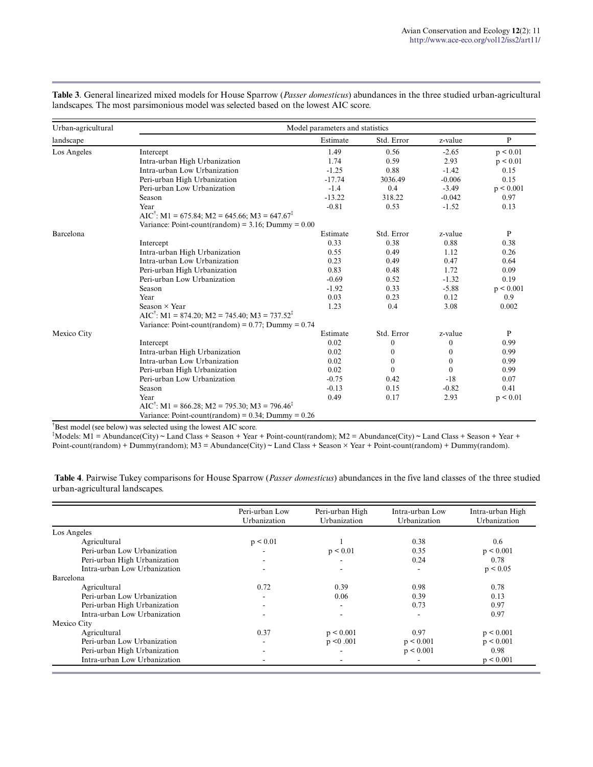| Urban-agricultural | Model parameters and statistics                                                          |          |              |                  |              |  |  |
|--------------------|------------------------------------------------------------------------------------------|----------|--------------|------------------|--------------|--|--|
| landscape          |                                                                                          | Estimate | Std. Error   | z-value          | P            |  |  |
| Los Angeles        | Intercept                                                                                | 1.49     | 0.56         | $-2.65$          | p < 0.01     |  |  |
|                    | Intra-urban High Urbanization                                                            | 1.74     | 0.59         | 2.93             | p < 0.01     |  |  |
|                    | Intra-urban Low Urbanization                                                             | $-1.25$  | 0.88         | $-1.42$          | 0.15         |  |  |
|                    | Peri-urban High Urbanization                                                             | $-17.74$ | 3036.49      | $-0.006$         | 0.15         |  |  |
|                    | Peri-urban Low Urbanization                                                              | $-1.4$   | 0.4          | $-3.49$          | p < 0.001    |  |  |
|                    | Season                                                                                   | $-13.22$ | 318.22       | $-0.042$         | 0.97         |  |  |
|                    | Year                                                                                     | $-0.81$  | 0.53         | $-1.52$          | 0.13         |  |  |
|                    | $AIC^{\dagger}$ : M1 = 675.84; M2 = 645.66; M3 = 647.67 <sup><math>\ddagger</math></sup> |          |              |                  |              |  |  |
|                    | Variance: Point-count(random) = $3.16$ ; Dummy = $0.00$                                  |          |              |                  |              |  |  |
| <b>Barcelona</b>   |                                                                                          | Estimate | Std. Error   | z-value          | P            |  |  |
|                    | Intercept                                                                                | 0.33     | 0.38         | 0.88             | 0.38         |  |  |
|                    | Intra-urban High Urbanization                                                            | 0.55     | 0.49         | 1.12             | 0.26         |  |  |
|                    | Intra-urban Low Urbanization                                                             | 0.23     | 0.49         | 0.47             | 0.64         |  |  |
|                    | Peri-urban High Urbanization                                                             | 0.83     | 0.48         | 1.72             | 0.09         |  |  |
|                    | Peri-urban Low Urbanization                                                              | $-0.69$  | 0.52         | $-1.32$          | 0.19         |  |  |
|                    | Season                                                                                   | $-1.92$  | 0.33         | $-5.88$          | p < 0.001    |  |  |
|                    | Year                                                                                     | 0.03     | 0.23         | 0.12             | 0.9          |  |  |
|                    | Season $\times$ Year                                                                     | 1.23     | 0.4          | 3.08             | 0.002        |  |  |
|                    | $AIC^{\dagger}$ : M1 = 874.20; M2 = 745.40; M3 = 737.52 <sup>‡</sup>                     |          |              |                  |              |  |  |
|                    | Variance: Point-count(random) = $0.77$ ; Dummy = $0.74$                                  |          |              |                  |              |  |  |
| Mexico City        |                                                                                          | Estimate | Std. Error   | z-value          | $\mathbf{P}$ |  |  |
|                    | Intercept                                                                                | 0.02     | $\mathbf{0}$ | $\boldsymbol{0}$ | 0.99         |  |  |
|                    | Intra-urban High Urbanization                                                            | 0.02     | $\mathbf{0}$ | $\theta$         | 0.99         |  |  |
|                    | Intra-urban Low Urbanization                                                             | 0.02     | $\mathbf{0}$ | $\boldsymbol{0}$ | 0.99         |  |  |
|                    | Peri-urban High Urbanization                                                             | 0.02     | $\theta$     | $\theta$         | 0.99         |  |  |
|                    | Peri-urban Low Urbanization                                                              | $-0.75$  | 0.42         | $-18$            | 0.07         |  |  |
|                    | Season                                                                                   | $-0.13$  | 0.15         | $-0.82$          | 0.41         |  |  |
|                    | Year                                                                                     | 0.49     | 0.17         | 2.93             | p < 0.01     |  |  |
|                    | $AIC^{\dagger}$ : M1 = 866.28; M2 = 795.30; M3 = 796.46 <sup>1</sup>                     |          |              |                  |              |  |  |
|                    | Variance: Point-count(random) = $0.34$ ; Dummy = $0.26$                                  |          |              |                  |              |  |  |

**Table 3**. General linearized mixed models for House Sparrow (*Passer domesticus*) abundances in the three studied urban-agricultural landscapes. The most parsimonious model was selected based on the lowest AIC score.

† Best model (see below) was selected using the lowest AIC score.

 $*$ Models: M1 = Abundance(City) ~ Land Class + Season + Year + Point-count(random); M2 = Abundance(City) ~ Land Class + Season + Year + Point-count(random) + Dummy(random); M3 = Abundance(City) ~ Land Class + Season × Year + Point-count(random) + Dummy(random).

 **Table 4**. Pairwise Tukey comparisons for House Sparrow (*Passer domesticus*) abundances in the five land classes of the three studied urban-agricultural landscapes.

|                              | Peri-urban Low<br>Urbanization | Peri-urban High<br>Urbanization | Intra-urban Low<br>Urbanization | Intra-urban High<br>Urbanization |
|------------------------------|--------------------------------|---------------------------------|---------------------------------|----------------------------------|
| Los Angeles                  |                                |                                 |                                 |                                  |
| Agricultural                 | p < 0.01                       |                                 | 0.38                            | 0.6                              |
| Peri-urban Low Urbanization  |                                | p < 0.01                        | 0.35                            | p < 0.001                        |
| Peri-urban High Urbanization |                                |                                 | 0.24                            | 0.78                             |
| Intra-urban Low Urbanization |                                | $\overline{\phantom{a}}$        | ۰                               | p < 0.05                         |
| Barcelona                    |                                |                                 |                                 |                                  |
| Agricultural                 | 0.72                           | 0.39                            | 0.98                            | 0.78                             |
| Peri-urban Low Urbanization  |                                | 0.06                            | 0.39                            | 0.13                             |
| Peri-urban High Urbanization |                                |                                 | 0.73                            | 0.97                             |
| Intra-urban Low Urbanization |                                | $\overline{\phantom{a}}$        |                                 | 0.97                             |
| Mexico City                  |                                |                                 |                                 |                                  |
| Agricultural                 | 0.37                           | p < 0.001                       | 0.97                            | p < 0.001                        |
| Peri-urban Low Urbanization  |                                | $p \le 0.001$                   | p < 0.001                       | p < 0.001                        |
| Peri-urban High Urbanization | $\overline{\phantom{a}}$       | $\overline{\phantom{a}}$        | p < 0.001                       | 0.98                             |
| Intra-urban Low Urbanization | ۰                              | $\overline{\phantom{a}}$        |                                 | p < 0.001                        |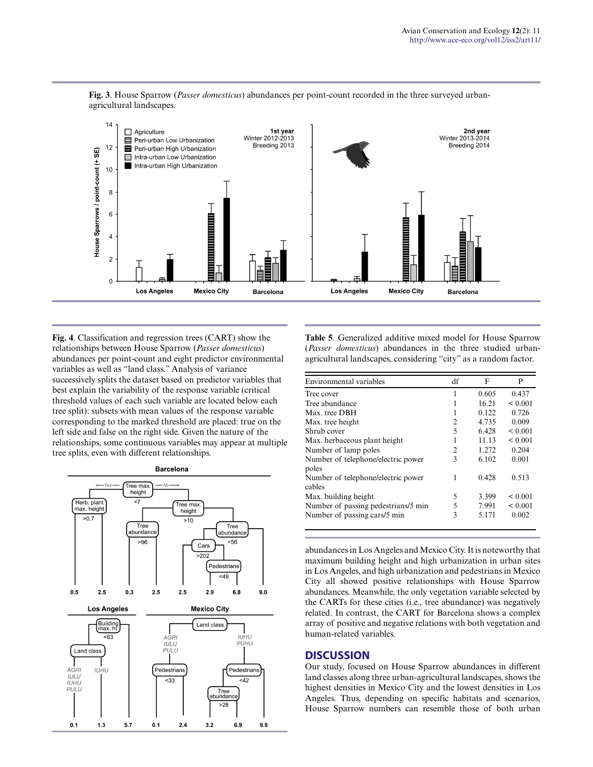

**Fig. 3**. House Sparrow (*Passer domesticus*) abundances per point-count recorded in the three surveyed urbanagricultural landscapes.

**Fig. 4**. Classification and regression trees (CART) show the relationships between House Sparrow (*Passer domesticus*) abundances per point-count and eight predictor environmental variables as well as "land class." Analysis of variance successively splits the dataset based on predictor variables that best explain the variability of the response variable (critical threshold values of each such variable are located below each tree split): subsets with mean values of the response variable corresponding to the marked threshold are placed: true on the left side and false on the right side. Given the nature of the relationships, some continuous variables may appear at multiple tree splits, even with different relationships.



**Table 5**. Generalized additive mixed model for House Sparrow (*Passer domesticus*) abundances in the three studied urbanagricultural landscapes, considering "city" as a random factor.

| Environmental variables                      | df | F     | P            |
|----------------------------------------------|----|-------|--------------|
| Tree cover                                   | 1  | 0.605 | 0.437        |
| Tree abundance                               | 1  | 16.21 | ${}_{0.001}$ |
| Max. tree DBH                                | 1  | 0.122 | 0.726        |
| Max. tree height                             | 2  | 4.735 | 0.009        |
| Shrub cover                                  | 5  | 6.428 | ${}_{0.001}$ |
| Max. herbaceous plant height                 | 1  | 11.13 | ${}_{0.001}$ |
| Number of lamp poles                         | 2  | 1.272 | 0.204        |
| Number of telephone/electric power<br>poles  | 3  | 6.102 | 0.001        |
| Number of telephone/electric power<br>cables | 1  | 0.428 | 0.513        |
| Max. building height                         | 5  | 3.399 | ${}_{0.001}$ |
| Number of passing pedestrians/5 min          | 5  | 7.991 | ${}_{0.001}$ |
| Number of passing cars/5 min                 | 3  | 5.171 | 0.002        |

abundances in Los Angeles and Mexico City. It is noteworthy that maximum building height and high urbanization in urban sites in Los Angeles, and high urbanization and pedestrians in Mexico City all showed positive relationships with House Sparrow abundances. Meanwhile, the only vegetation variable selected by the CARTs for these cities (i.e., tree abundance) was negatively related. In contrast, the CART for Barcelona shows a complex array of positive and negative relations with both vegetation and human-related variables.

# **DISCUSSION**

Our study, focused on House Sparrow abundances in different land classes along three urban-agricultural landscapes, shows the highest densities in Mexico City and the lowest densities in Los Angeles. Thus, depending on specific habitats and scenarios, House Sparrow numbers can resemble those of both urban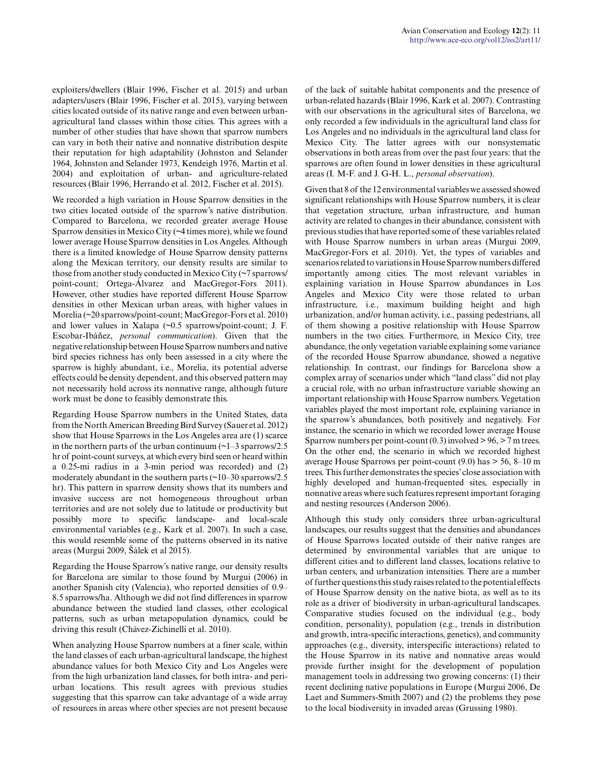exploiters/dwellers (Blair 1996, Fischer et al. 2015) and urban adapters/users (Blair 1996, Fischer et al. 2015), varying between cities located outside of its native range and even between urbanagricultural land classes within those cities. This agrees with a number of other studies that have shown that sparrow numbers can vary in both their native and nonnative distribution despite their reputation for high adaptability (Johnston and Selander 1964, Johnston and Selander 1973, Kendeigh 1976, Martin et al. 2004) and exploitation of urban- and agriculture-related resources (Blair 1996, Herrando et al. 2012, Fischer et al. 2015).

We recorded a high variation in House Sparrow densities in the two cities located outside of the sparrow's native distribution. Compared to Barcelona, we recorded greater average House Sparrow densities in Mexico City (~4 times more), while we found lower average House Sparrow densities in Los Angeles. Although there is a limited knowledge of House Sparrow density patterns along the Mexican territory, our density results are similar to those from another study conducted in Mexico City (~7 sparrows/ point-count; Ortega-Álvarez and MacGregor-Fors 2011). However, other studies have reported different House Sparrow densities in other Mexican urban areas, with higher values in Morelia (~20 sparrows/point-count; MacGregor-Fors et al. 2010) and lower values in Xalapa (~0.5 sparrows/point-count; J. F. Escobar-Ibáñez, *personal communication*). Given that the negative relationship between House Sparrow numbers and native bird species richness has only been assessed in a city where the sparrow is highly abundant, i.e., Morelia, its potential adverse effects could be density dependent, and this observed pattern may not necessarily hold across its nonnative range, although future work must be done to feasibly demonstrate this.

Regarding House Sparrow numbers in the United States, data from the North American Breeding Bird Survey (Sauer et al. 2012) show that House Sparrows in the Los Angeles area are (1) scarce in the northern parts of the urban continuum  $(\sim]$  1–3 sparrows/2.5 hr of point-count surveys, at which every bird seen or heard within a 0.25-mi radius in a 3-min period was recorded) and (2) moderately abundant in the southern parts (~10–30 sparrows/2.5 hr). This pattern in sparrow density shows that its numbers and invasive success are not homogeneous throughout urban territories and are not solely due to latitude or productivity but possibly more to specific landscape- and local-scale environmental variables (e.g., Kark et al. 2007). In such a case, this would resemble some of the patterns observed in its native areas (Murgui 2009, Šálek et al 2015).

Regarding the House Sparrow's native range, our density results for Barcelona are similar to those found by Murgui (2006) in another Spanish city (Valencia), who reported densities of 0.9– 8.5 sparrows/ha. Although we did not find differences in sparrow abundance between the studied land classes, other ecological patterns, such as urban metapopulation dynamics, could be driving this result (Chávez-Zichinelli et al. 2010).

When analyzing House Sparrow numbers at a finer scale, within the land classes of each urban-agricultural landscape, the highest abundance values for both Mexico City and Los Angeles were from the high urbanization land classes, for both intra- and periurban locations. This result agrees with previous studies suggesting that this sparrow can take advantage of a wide array of resources in areas where other species are not present because

of the lack of suitable habitat components and the presence of urban-related hazards (Blair 1996, Kark et al. 2007). Contrasting with our observations in the agricultural sites of Barcelona, we only recorded a few individuals in the agricultural land class for Los Angeles and no individuals in the agricultural land class for Mexico City. The latter agrees with our nonsystematic observations in both areas from over the past four years: that the sparrows are often found in lower densities in these agricultural areas (I. M-F. and J. G-H. L., *personal observation*).

Given that 8 of the 12 environmental variables we assessed showed significant relationships with House Sparrow numbers, it is clear that vegetation structure, urban infrastructure, and human activity are related to changes in their abundance, consistent with previous studies that have reported some of these variables related with House Sparrow numbers in urban areas (Murgui 2009, MacGregor-Fors et al. 2010). Yet, the types of variables and scenarios related to variations in House Sparrow numbers differed importantly among cities. The most relevant variables in explaining variation in House Sparrow abundances in Los Angeles and Mexico City were those related to urban infrastructure, i.e., maximum building height and high urbanization, and/or human activity, i.e., passing pedestrians, all of them showing a positive relationship with House Sparrow numbers in the two cities. Furthermore, in Mexico City, tree abundance, the only vegetation variable explaining some variance of the recorded House Sparrow abundance, showed a negative relationship. In contrast, our findings for Barcelona show a complex array of scenarios under which "land class" did not play a crucial role, with no urban infrastructure variable showing an important relationship with House Sparrow numbers. Vegetation variables played the most important role, explaining variance in the sparrow's abundances, both positively and negatively. For instance, the scenario in which we recorded lower average House Sparrow numbers per point-count  $(0.3)$  involved  $> 96$ ,  $> 7$  m trees. On the other end, the scenario in which we recorded highest average House Sparrows per point-count (9.0) has > 56, 8–10 m trees. This further demonstrates the species' close association with highly developed and human-frequented sites, especially in nonnative areas where such features represent important foraging and nesting resources (Anderson 2006).

Although this study only considers three urban-agricultural landscapes, our results suggest that the densities and abundances of House Sparrows located outside of their native ranges are determined by environmental variables that are unique to different cities and to different land classes, locations relative to urban centers, and urbanization intensities. There are a number of further questions this study raises related to the potential effects of House Sparrow density on the native biota, as well as to its role as a driver of biodiversity in urban-agricultural landscapes. Comparative studies focused on the individual (e.g., body condition, personality), population (e.g., trends in distribution and growth, intra-specific interactions, genetics), and community approaches (e.g., diversity, interspecific interactions) related to the House Sparrow in its native and nonnative areas would provide further insight for the development of population management tools in addressing two growing concerns: (1) their recent declining native populations in Europe (Murgui 2006, De Laet and Summers-Smith 2007) and (2) the problems they pose to the local biodiversity in invaded areas (Grussing 1980).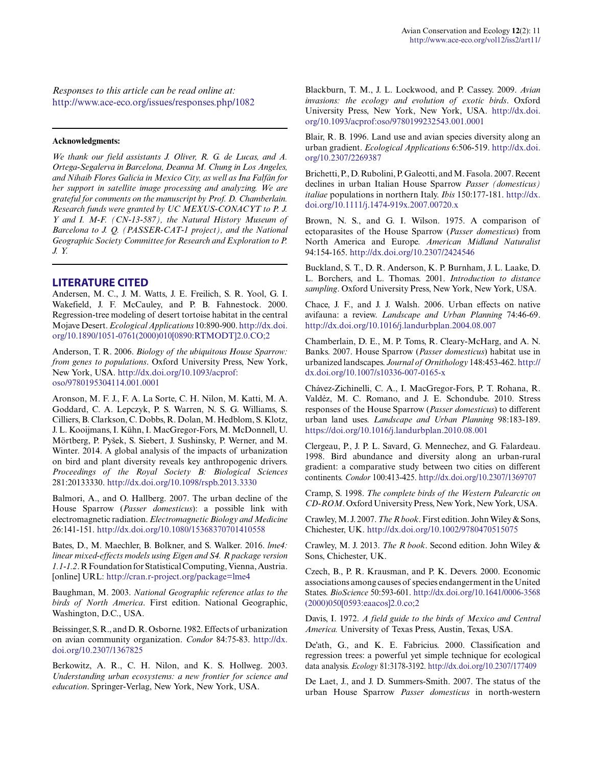*Responses to this article can be read online at:* <http://www.ace-eco.org/issues/responses.php/1082>

#### **Acknowledgments:**

*We thank our field assistants J. Oliver, R. G. de Lucas, and A. Ortega-Segalerva in Barcelona, Deanna M. Chung in Los Angeles, and Nihaib Flores Galicia in Mexico City, as well as Ina Falfán for her support in satellite image processing and analyzing. We are grateful for comments on the manuscript by Prof. D. Chamberlain. Research funds were granted by UC MEXUS-CONACYT to P. J. Y and I. M-F. (CN-13-587), the Natural History Museum of Barcelona to J. Q. (PASSER-CAT-1 project), and the National Geographic Society Committee for Research and Exploration to P. J. Y.*

### **LITERATURE CITED**

Andersen, M. C., J. M. Watts, J. E. Freilich, S. R. Yool, G. I. Wakefield, J. F. McCauley, and P. B. Fahnestock. 2000. Regression-tree modeling of desert tortoise habitat in the central Mojave Desert. *Ecological Applications* 10:890-900. [http://dx.doi.](http://dx.doi.org/10.1890%2F1051-0761%282000%29010%5B0890%3ARTMODT%5D2.0.CO%3B2) [org/10.1890/1051-0761\(2000\)010\[0890:RTMODT\]2.0.CO;2](http://dx.doi.org/10.1890%2F1051-0761%282000%29010%5B0890%3ARTMODT%5D2.0.CO%3B2) 

Anderson, T. R. 2006. *Biology of the ubiquitous House Sparrow: from genes to populations*. Oxford University Press, New York, New York, USA. [http://dx.doi.org/10.1093/acprof:](http://dx.doi.org/10.1093%2Facprof%3Aoso%2F9780195304114.001.0001) [oso/9780195304114.001.0001](http://dx.doi.org/10.1093%2Facprof%3Aoso%2F9780195304114.001.0001) 

Aronson, M. F. J., F. A. La Sorte, C. H. Nilon, M. Katti, M. A. Goddard, C. A. Lepczyk, P. S. Warren, N. S. G. Williams, S. Cilliers, B. Clarkson, C. Dobbs, R. Dolan, M. Hedblom, S. Klotz, J. L. Kooijmans, I. Kühn, I. MacGregor-Fors, M. McDonnell, U. Mörtberg, P. Pyšek, S. Siebert, J. Sushinsky, P. Werner, and M. Winter. 2014. A global analysis of the impacts of urbanization on bird and plant diversity reveals key anthropogenic drivers. *Proceedings of the Royal Society B: Biological Sciences* 281:20133330. [http://dx.doi.org/10.1098/rspb.2013.3330](http://dx.doi.org/10.1098%2Frspb.2013.3330)

Balmori, A., and O. Hallberg. 2007. The urban decline of the House Sparrow (*Passer domesticus*): a possible link with electromagnetic radiation. *Electromagnetic Biology and Medicine* 26:141-151. [http://dx.doi.org/10.1080/15368370701410558](http://dx.doi.org/10.1080%2F15368370701410558) 

Bates, D., M. Maechler, B. Bolkner, and S. Walker. 2016. *lme4: linear mixed-effects models using Eigen and S4. R package version 1.1-1.2*. R Foundation for Statistical Computing, Vienna, Austria. [online] URL: <http://cran.r-project.org/package=lme4>

Baughman, M. 2003. *National Geographic reference atlas to the birds of North America*. First edition. National Geographic, Washington, D.C., USA.

Beissinger, S. R., and D. R. Osborne. 1982. Effects of urbanization on avian community organization. *Condor* 84:75-83. [http://dx.](http://dx.doi.org/10.2307%2F1367825) [doi.org/10.2307/1367825](http://dx.doi.org/10.2307%2F1367825) 

Berkowitz, A. R., C. H. Nilon, and K. S. Hollweg. 2003. *Understanding urban ecosystems: a new frontier for science and education*. Springer-Verlag, New York, New York, USA.

Blackburn, T. M., J. L. Lockwood, and P. Cassey. 2009. *Avian invasions: the ecology and evolution of exotic birds*. Oxford University Press, New York, New York, USA. [http://dx.doi.](http://dx.doi.org/10.1093%2Facprof%3Aoso%2F9780199232543.001.0001) [org/10.1093/acprof:oso/9780199232543.001.0001](http://dx.doi.org/10.1093%2Facprof%3Aoso%2F9780199232543.001.0001) 

Blair, R. B. 1996. Land use and avian species diversity along an urban gradient. *Ecological Applications* 6:506-519. [http://dx.doi.](http://dx.doi.org/10.2307%2F2269387) [org/10.2307/2269387](http://dx.doi.org/10.2307%2F2269387) 

Brichetti, P., D. Rubolini, P. Galeotti, and M. Fasola. 2007. Recent declines in urban Italian House Sparrow *Passer (domesticus) italiae* populations in northern Italy. *Ibis* 150:177-181. [http://dx.](http://dx.doi.org/10.1111%2Fj.1474-919x.2007.00720.x) [doi.org/10.1111/j.1474-919x.2007.00720.x](http://dx.doi.org/10.1111%2Fj.1474-919x.2007.00720.x)

Brown, N. S., and G. I. Wilson. 1975. A comparison of ectoparasites of the House Sparrow (*Passer domesticus*) from North America and Europe. *American Midland Naturalist* 94:154-165. [http://dx.doi.org/10.2307/2424546](http://dx.doi.org/10.2307%2F2424546) 

Buckland, S. T., D. R. Anderson, K. P. Burnham, J. L. Laake, D. L. Borchers, and L. Thomas. 2001. *Introduction to distance sampling*. Oxford University Press, New York, New York, USA.

Chace, J. F., and J. J. Walsh. 2006. Urban effects on native avifauna: a review. *Landscape and Urban Planning* 74:46-69. [http://dx.doi.org/10.1016/j.landurbplan.2004.08.007](http://dx.doi.org/10.1016%2Fj.landurbplan.2004.08.007)

Chamberlain, D. E., M. P. Toms, R. Cleary-McHarg, and A. N. Banks. 2007. House Sparrow (*Passer domesticus*) habitat use in urbanized landscapes. *Journal of Ornithology* 148:453-462. [http://](http://dx.doi.org/10.1007%2Fs10336-007-0165-x) [dx.doi.org/10.1007/s10336-007-0165-x](http://dx.doi.org/10.1007%2Fs10336-007-0165-x) 

Chávez-Zichinelli, C. A., I. MacGregor-Fors, P. T. Rohana, R. Valdéz, M. C. Romano, and J. E. Schondube. 2010. Stress responses of the House Sparrow (*Passer domesticus*) to different urban land uses. *Landscape and Urban Planning* 98:183-189. <https://doi.org/10.1016/j.landurbplan.2010.08.001>

Clergeau, P., J. P. L. Savard, G. Mennechez, and G. Falardeau. 1998. Bird abundance and diversity along an urban-rural gradient: a comparative study between two cities on different continents. *Condor* 100:413-425. [http://dx.doi.org/10.2307/1369707](http://dx.doi.org/10.2307%2F1369707) 

Cramp, S. 1998. *The complete birds of the Western Palearctic on CD-ROM*. Oxford University Press, New York, New York, USA.

Crawley, M. J. 2007. *The R book*. First edition. John Wiley & Sons, Chichester, UK. [http://dx.doi.org/10.1002/9780470515075](http://dx.doi.org/10.1002%2F9780470515075) 

Crawley, M. J. 2013. *The R book*. Second edition. John Wiley & Sons, Chichester, UK.

Czech, B., P. R. Krausman, and P. K. Devers. 2000. Economic associations among causes of species endangerment in the United States. *BioScience* 50:593-601. [http://dx.doi.org/10.1641/0006-3568](http://dx.doi.org/10.1641%2F0006-3568%282000%29050%5B0593%3Aeaacos%5D2.0.co%3B2) [\(2000\)050\[0593:eaacos\]2.0.co;2](http://dx.doi.org/10.1641%2F0006-3568%282000%29050%5B0593%3Aeaacos%5D2.0.co%3B2) 

Davis, I. 1972. *A field guide to the birds of Mexico and Central America.* University of Texas Press, Austin, Texas, USA.

De'ath, G., and K. E. Fabricius. 2000. Classification and regression trees: a powerful yet simple technique for ecological data analysis. *Ecology* 81:3178-3192. [http://dx.doi.org/10.2307/177409](http://dx.doi.org/10.2307%2F177409) 

De Laet, J., and J. D. Summers-Smith. 2007. The status of the urban House Sparrow *Passer domesticus* in north-western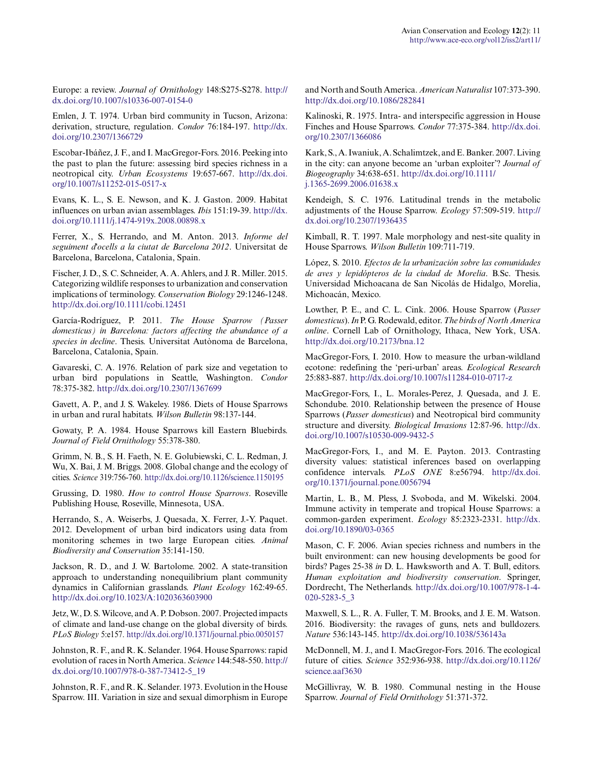Europe: a review. *Journal of Ornithology* 148:S275-S278. [http://](http://dx.doi.org/10.1007%2Fs10336-007-0154-0) [dx.doi.org/10.1007/s10336-007-0154-0](http://dx.doi.org/10.1007%2Fs10336-007-0154-0) 

Emlen, J. T. 1974. Urban bird community in Tucson, Arizona: derivation, structure, regulation. *Condor* 76:184-197. [http://dx.](http://dx.doi.org/10.2307%2F1366729) [doi.org/10.2307/1366729](http://dx.doi.org/10.2307%2F1366729) 

Escobar-Ibáñez, J. F., and I. MacGregor-Fors. 2016. Peeking into the past to plan the future: assessing bird species richness in a neotropical city. *Urban Ecosystems* 19:657-667. [http://dx.doi.](http://dx.doi.org/10.1007%2Fs11252-015-0517-x) [org/10.1007/s11252-015-0517-x](http://dx.doi.org/10.1007%2Fs11252-015-0517-x)

Evans, K. L., S. E. Newson, and K. J. Gaston. 2009. Habitat influences on urban avian assemblages. *Ibis* 151:19-39. [http://dx.](http://dx.doi.org/10.1111%2Fj.1474-919x.2008.00898.x) [doi.org/10.1111/j.1474-919x.2008.00898.x](http://dx.doi.org/10.1111%2Fj.1474-919x.2008.00898.x)

Ferrer, X., S. Herrando, and M. Anton. 2013. *Informe del seguiment d'ocells a la ciutat de Barcelona 2012*. Universitat de Barcelona, Barcelona, Catalonia, Spain.

Fischer, J. D., S. C. Schneider, A. A. Ahlers, and J. R. Miller. 2015. Categorizing wildlife responses to urbanization and conservation implications of terminology. *Conservation Biology* 29:1246-1248. [http://dx.doi.org/10.1111/cobi.12451](http://dx.doi.org/10.1111%2Fcobi.12451) 

García-Rodríguez, P. 2011. *The House Sparrow (Passer domesticus) in Barcelona: factors affecting the abundance of a species in decline*. Thesis. Universitat Autònoma de Barcelona, Barcelona, Catalonia, Spain.

Gavareski, C. A. 1976. Relation of park size and vegetation to urban bird populations in Seattle, Washington. *Condor* 78:375-382. [http://dx.doi.org/10.2307/1367699](http://dx.doi.org/10.2307%2F1367699) 

Gavett, A. P., and J. S. Wakeley. 1986. Diets of House Sparrows in urban and rural habitats. *Wilson Bulletin* 98:137-144.

Gowaty, P. A. 1984. House Sparrows kill Eastern Bluebirds. *Journal of Field Ornithology* 55:378-380.

Grimm, N. B., S. H. Faeth, N. E. Golubiewski, C. L. Redman, J. Wu, X. Bai, J. M. Briggs. 2008. Global change and the ecology of cities. *Science* 319:756-760. [http://dx.doi.org/10.1126/science.1150195](http://dx.doi.org/10.1126%2Fscience.1150195) 

Grussing, D. 1980. *How to control House Sparrows*. Roseville Publishing House, Roseville, Minnesota, USA.

Herrando, S., A. Weiserbs, J. Quesada, X. Ferrer, J.-Y. Paquet. 2012. Development of urban bird indicators using data from monitoring schemes in two large European cities. *Animal Biodiversity and Conservation* 35:141-150.

Jackson, R. D., and J. W. Bartolome. 2002. A state-transition approach to understanding nonequilibrium plant community dynamics in Californian grasslands. *Plant Ecology* 162:49-65. [http://dx.doi.org/10.1023/A:1020363603900](http://dx.doi.org/10.1023%2FA%3A1020363603900)

Jetz, W., D. S. Wilcove, and A. P. Dobson. 2007. Projected impacts of climate and land-use change on the global diversity of birds. *PLoS Biology* 5:e157. [http://dx.doi.org/10.1371/journal.pbio.0050157](http://dx.doi.org/10.1371%2Fjournal.pbio.0050157) 

Johnston, R. F., and R. K. Selander. 1964. House Sparrows: rapid evolution of races in North America. *Science* 144:548-550. [http://](http://dx.doi.org/10.1007%2F978-0-387-73412-5_19) [dx.doi.org/10.1007/978-0-387-73412-5\\_19](http://dx.doi.org/10.1007%2F978-0-387-73412-5_19) 

Johnston, R. F., and R. K. Selander. 1973. Evolution in the House Sparrow. III. Variation in size and sexual dimorphism in Europe

and North and South America. *American Naturalist* 107:373-390. [http://dx.doi.org/10.1086/282841](http://dx.doi.org/10.1086%2F282841)

Kalinoski, R. 1975. Intra- and interspecific aggression in House Finches and House Sparrows. *Condor* 77:375-384. [http://dx.doi.](http://dx.doi.org/10.2307%2F1366086) [org/10.2307/1366086](http://dx.doi.org/10.2307%2F1366086) 

Kark, S., A. Iwaniuk, A. Schalimtzek, and E. Banker. 2007. Living in the city: can anyone become an 'urban exploiter'? *Journal of Biogeography* 34:638-651. [http://dx.doi.org/10.1111/](http://dx.doi.org/10.1111%2Fj.1365-2699.2006.01638.x) [j.1365-2699.2006.01638.x](http://dx.doi.org/10.1111%2Fj.1365-2699.2006.01638.x)

Kendeigh, S. C. 1976. Latitudinal trends in the metabolic adjustments of the House Sparrow. *Ecology* 57:509-519. [http://](http://dx.doi.org/10.2307%2F1936435) [dx.doi.org/10.2307/1936435](http://dx.doi.org/10.2307%2F1936435)

Kimball, R. T. 1997. Male morphology and nest-site quality in House Sparrows. *Wilson Bulletin* 109:711-719.

López, S. 2010. *Efectos de la urbanización sobre las comunidades de aves y lepidópteros de la ciudad de Morelia*. B.Sc. Thesis. Universidad Michoacana de San Nicolás de Hidalgo, Morelia, Michoacán, Mexico.

Lowther, P. E., and C. L. Cink. 2006. House Sparrow (*Passer domesticus*). *In* P. G. Rodewald, editor. *The birds of North America online*. Cornell Lab of Ornithology, Ithaca, New York, USA. [http://dx.doi.org/10.2173/bna.12](http://dx.doi.org/10.2173%2Fbna.12)

MacGregor-Fors, I. 2010. How to measure the urban-wildland ecotone: redefining the 'peri-urban' areas. *Ecological Research* 25:883-887. [http://dx.doi.org/10.1007/s11284-010-0717-z](http://dx.doi.org/10.1007%2Fs11284-010-0717-z) 

MacGregor-Fors, I., L. Morales-Perez, J. Quesada, and J. E. Schondube. 2010. Relationship between the presence of House Sparrows (*Passer domesticus*) and Neotropical bird community structure and diversity. *Biological Invasions* 12:87-96. [http://dx.](http://dx.doi.org/10.1007%2Fs10530-009-9432-5) [doi.org/10.1007/s10530-009-9432-5](http://dx.doi.org/10.1007%2Fs10530-009-9432-5) 

MacGregor-Fors, I., and M. E. Payton. 2013. Contrasting diversity values: statistical inferences based on overlapping confidence intervals. *PLoS ONE* 8:e56794. [http://dx.doi.](http://dx.doi.org/10.1371%2Fjournal.pone.0056794) [org/10.1371/journal.pone.0056794](http://dx.doi.org/10.1371%2Fjournal.pone.0056794) 

Martin, L. B., M. Pless, J. Svoboda, and M. Wikelski. 2004. Immune activity in temperate and tropical House Sparrows: a common-garden experiment. *Ecology* 85:2323-2331. [http://dx.](http://dx.doi.org/10.1890%2F03-0365) [doi.org/10.1890/03-0365](http://dx.doi.org/10.1890%2F03-0365) 

Mason, C. F. 2006. Avian species richness and numbers in the built environment: can new housing developments be good for birds? Pages 25-38 *in* D. L. Hawksworth and A. T. Bull, editors. *Human exploitation and biodiversity conservation*. Springer, Dordrecht, The Netherlands. [http://dx.doi.org/10.1007/978-1-4](http://dx.doi.org/10.1007%2F978-1-4020-5283-5_3) [020-5283-5\\_3](http://dx.doi.org/10.1007%2F978-1-4020-5283-5_3) 

Maxwell, S. L., R. A. Fuller, T. M. Brooks, and J. E. M. Watson. 2016. Biodiversity: the ravages of guns, nets and bulldozers. *Nature* 536:143-145. [http://dx.doi.org/10.1038/536143a](http://dx.doi.org/10.1038%2F536143a) 

McDonnell, M. J., and I. MacGregor-Fors. 2016. The ecological future of cities. *Science* 352:936-938. [http://dx.doi.org/10.1126/](http://dx.doi.org/10.1126%2Fscience.aaf3630) [science.aaf3630](http://dx.doi.org/10.1126%2Fscience.aaf3630) 

McGillivray, W. B. 1980. Communal nesting in the House Sparrow. *Journal of Field Ornithology* 51:371-372.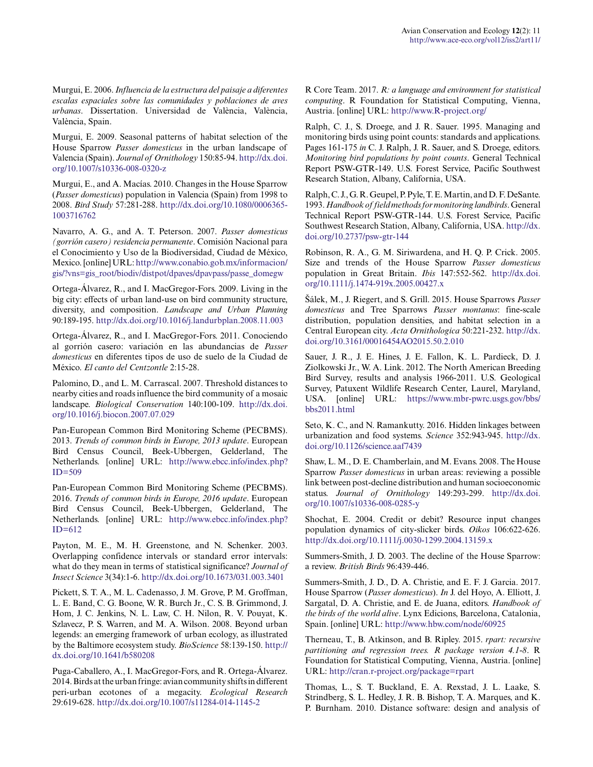Murgui, E. 2006. *Influencia de la estructura del paisaje a diferentes escalas espaciales sobre las comunidades y poblaciones de aves urbanas*. Dissertation. Universidad de València, València, València, Spain.

Murgui, E. 2009. Seasonal patterns of habitat selection of the House Sparrow *Passer domesticus* in the urban landscape of Valencia (Spain). *Journal of Ornithology* 150:85-94. [http://dx.doi.](http://dx.doi.org/10.1007%2Fs10336-008-0320-z) [org/10.1007/s10336-008-0320-z](http://dx.doi.org/10.1007%2Fs10336-008-0320-z) 

Murgui, E., and A. Macías. 2010. Changes in the House Sparrow (*Passer domesticus*) population in Valencia (Spain) from 1998 to 2008. *Bird Study* 57:281-288. [http://dx.doi.org/10.1080/0006365](http://dx.doi.org/10.1080%2F00063651003716762) [1003716762](http://dx.doi.org/10.1080%2F00063651003716762)

Navarro, A. G., and A. T. Peterson. 2007. *Passer domesticus (gorrión casero) residencia permanente*. Comisión Nacional para el Conocimiento y Uso de la Biodiversidad, Ciudad de México, Mexico. [online] URL: [http://www.conabio.gob.mx/informacion/](http://www.conabio.gob.mx/informacion/gis/?vns=gis_root/biodiv/distpot/dpaves/dpavpass/passe_domegw) [gis/?vns=gis\\_root/biodiv/distpot/dpaves/dpavpass/passe\\_domegw](http://www.conabio.gob.mx/informacion/gis/?vns=gis_root/biodiv/distpot/dpaves/dpavpass/passe_domegw) 

Ortega-Álvarez, R., and I. MacGregor-Fors. 2009. Living in the big city: effects of urban land-use on bird community structure, diversity, and composition. *Landscape and Urban Planning* 90:189-195. [http://dx.doi.org/10.1016/j.landurbplan.2008.11.003](http://dx.doi.org/10.1016%2Fj.landurbplan.2008.11.003) 

Ortega-Álvarez, R., and I. MacGregor-Fors. 2011. Conociendo al gorrión casero: variación en las abundancias de *Passer domesticus* en diferentes tipos de uso de suelo de la Ciudad de México. *El canto del Centzontle* 2:15-28.

Palomino, D., and L. M. Carrascal. 2007. Threshold distances to nearby cities and roads influence the bird community of a mosaic landscape. *Biological Conservation* 140:100-109. [http://dx.doi.](http://dx.doi.org/10.1016%2Fj.biocon.2007.07.029) [org/10.1016/j.biocon.2007.07.029](http://dx.doi.org/10.1016%2Fj.biocon.2007.07.029)

Pan-European Common Bird Monitoring Scheme (PECBMS). 2013. *Trends of common birds in Europe, 2013 update*. European Bird Census Council, Beek-Ubbergen, Gelderland, The Netherlands. [online] URL: [http://www.ebcc.info/index.php?](http://www.ebcc.info/index.php?ID=509) [ID=509](http://www.ebcc.info/index.php?ID=509)

Pan-European Common Bird Monitoring Scheme (PECBMS). 2016. *Trends of common birds in Europe, 2016 update*. European Bird Census Council, Beek-Ubbergen, Gelderland, The Netherlands. [online] URL: [http://www.ebcc.info/index.php?](http://www.ebcc.info/index.php?ID=612) [ID=612](http://www.ebcc.info/index.php?ID=612)

Payton, M. E., M. H. Greenstone, and N. Schenker. 2003. Overlapping confidence intervals or standard error intervals: what do they mean in terms of statistical significance? *Journal of Insect Science* 3(34):1-6. [http://dx.doi.org/10.1673/031.003.3401](http://dx.doi.org/10.1673%2F031.003.3401)

Pickett, S. T. A., M. L. Cadenasso, J. M. Grove, P. M. Groffman, L. E. Band, C. G. Boone, W. R. Burch Jr., C. S. B. Grimmond, J. Hom, J. C. Jenkins, N. L. Law, C. H. Nilon, R. V. Pouyat, K. Szlavecz, P. S. Warren, and M. A. Wilson. 2008. Beyond urban legends: an emerging framework of urban ecology, as illustrated by the Baltimore ecosystem study. *BioScience* 58:139-150. [http://](http://dx.doi.org/10.1641%2Fb580208) [dx.doi.org/10.1641/b580208](http://dx.doi.org/10.1641%2Fb580208) 

Puga-Caballero, A., I. MacGregor-Fors, and R. Ortega-Álvarez. 2014. Birds at the urban fringe: avian community shifts in different peri-urban ecotones of a megacity. *Ecological Research* 29:619-628. [http://dx.doi.org/10.1007/s11284-014-1145-2](http://dx.doi.org/10.1007%2Fs11284-014-1145-2)

R Core Team. 2017. *R: a language and environment for statistical computing*. R Foundation for Statistical Computing, Vienna, Austria. [online] URL: <http://www.R-project.org/>

Ralph, C. J., S. Droege, and J. R. Sauer. 1995. Managing and monitoring birds using point counts: standards and applications. Pages 161-175 *in* C. J. Ralph, J. R. Sauer, and S. Droege, editors. *Monitoring bird populations by point counts*. General Technical Report PSW-GTR-149. U.S. Forest Service, Pacific Southwest Research Station, Albany, California, USA.

Ralph, C. J., G. R. Geupel, P. Pyle, T. E. Martin, and D. F. DeSante. 1993. *Handbook of field methods for monitoring landbirds*. General Technical Report PSW-GTR-144. U.S. Forest Service, Pacific Southwest Research Station, Albany, California, USA. [http://dx.](http://dx.doi.org/10.2737%2Fpsw-gtr-144) [doi.org/10.2737/psw-gtr-144](http://dx.doi.org/10.2737%2Fpsw-gtr-144) 

Robinson, R. A., G. M. Siriwardena, and H. Q. P. Crick. 2005. Size and trends of the House Sparrow *Passer domesticus* population in Great Britain. *Ibis* 147:552-562. [http://dx.doi.](http://dx.doi.org/10.1111%2Fj.1474-919x.2005.00427.x) [org/10.1111/j.1474-919x.2005.00427.x](http://dx.doi.org/10.1111%2Fj.1474-919x.2005.00427.x)

Šálek, M., J. Riegert, and S. Grill. 2015. House Sparrows *Passer domesticus* and Tree Sparrows *Passer montanus*: fine-scale distribution, population densities, and habitat selection in a Central European city. *Acta Ornithologica* 50:221-232. [http://dx.](http://dx.doi.org/10.3161%2F00016454AO2015.50.2.010) [doi.org/10.3161/00016454AO2015.50.2.010](http://dx.doi.org/10.3161%2F00016454AO2015.50.2.010) 

Sauer, J. R., J. E. Hines, J. E. Fallon, K. L. Pardieck, D. J. Ziolkowski Jr., W. A. Link. 2012. The North American Breeding Bird Survey, results and analysis 1966-2011. U.S. Geological Survey, Patuxent Wildlife Research Center, Laurel, Maryland, USA. [online] URL: [https://www.mbr-pwrc.usgs.gov/bbs/](https://www.mbr-pwrc.usgs.gov/bbs/bbs2011.html) [bbs2011.html](https://www.mbr-pwrc.usgs.gov/bbs/bbs2011.html)

Seto, K. C., and N. Ramankutty. 2016. Hidden linkages between urbanization and food systems. *Science* 352:943-945. [http://dx.](http://dx.doi.org/10.1126%2Fscience.aaf7439) [doi.org/10.1126/science.aaf7439](http://dx.doi.org/10.1126%2Fscience.aaf7439) 

Shaw, L. M., D. E. Chamberlain, and M. Evans. 2008. The House Sparrow *Passer domesticus* in urban areas: reviewing a possible link between post-decline distribution and human socioeconomic status. *Journal of Ornithology* 149:293-299. [http://dx.doi.](http://dx.doi.org/10.1007%2Fs10336-008-0285-y) [org/10.1007/s10336-008-0285-y](http://dx.doi.org/10.1007%2Fs10336-008-0285-y)

Shochat, E. 2004. Credit or debit? Resource input changes population dynamics of city-slicker birds. *Oikos* 106:622-626. [http://dx.doi.org/10.1111/j.0030-1299.2004.13159.x](http://dx.doi.org/10.1111%2Fj.0030-1299.2004.13159.x) 

Summers-Smith, J. D. 2003. The decline of the House Sparrow: a review. *British Birds* 96:439-446.

Summers-Smith, J. D., D. A. Christie, and E. F. J. Garcia. 2017. House Sparrow (*Passer domesticus*). *In* J. del Hoyo, A. Elliott, J. Sargatal, D. A. Christie, and E. de Juana, editors. *Handbook of the birds of the world alive*. Lynx Edicions, Barcelona, Catalonia, Spain. [online] URL:<http://www.hbw.com/node/60925>

Therneau, T., B. Atkinson, and B. Ripley. 2015. *rpart: recursive partitioning and regression trees. R package version 4.1-8*. R Foundation for Statistical Computing, Vienna, Austria. [online] URL:<http://cran.r-project.org/package=rpart>

Thomas, L., S. T. Buckland, E. A. Rexstad, J. L. Laake, S. Strindberg, S. L. Hedley, J. R. B. Bishop, T. A. Marques, and K. P. Burnham. 2010. Distance software: design and analysis of